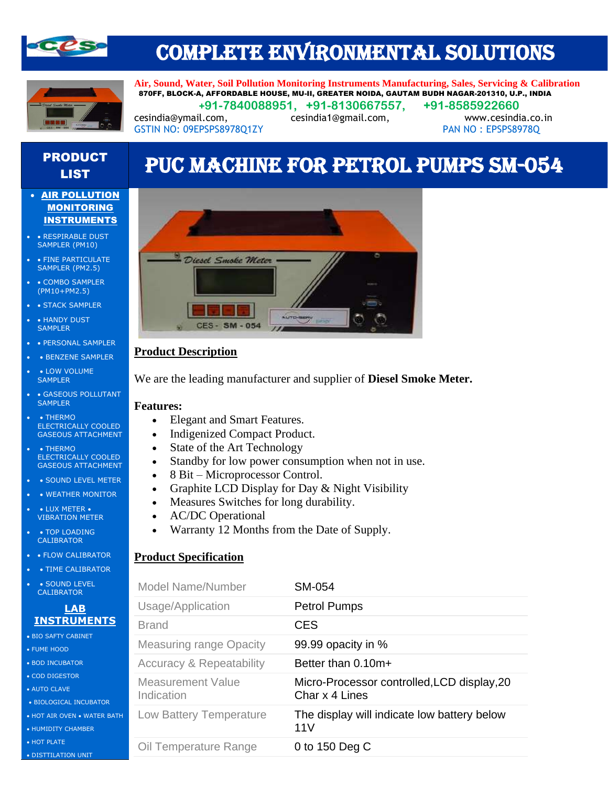

# COMPLETE ENVIRONMENTAL SOLUTIONS



**Air, Sound, Water, Soil Pollution Monitoring Instruments Manufacturing, Sales, Servicing & Calibration** 870FF, BLOCK-A, AFFORDABLE HOUSE, MU-II, GREATER NOIDA, GAUTAM BUDH NAGAR-201310, U.P., INDIA  **+91-7840088951, +91-8130667557, +91-8585922660**

[cesindia@ymail.com,](mailto:cesindia@ymail.com) [cesindia1@gmail.com,](mailto:cesindia1@gmail.com) [www.cesindia.co.in](http://www.cesindia.co.in/)  GSTIN NO: 09EPSPS8978Q1ZY PAN NO: EPSPS8978Q

# PRODUCT **CODUCT PUC MACHINE FOR PETROL PUMPS SM-054**

- AIR POLLUTION **MONITORING** INSTRUMENTS
- • RESPIRABLE DUST SAMPLER (PM10)
- FINE PARTICULATE SAMPLER (PM2.5)
- COMBO SAMPLER (PM10+PM2.5)
- STACK SAMPLER
- HANDY DUST **SAMPLER**
- • PERSONAL SAMPLER
- BENZENE SAMPLER
- LOW VOLUME SAMPLER
- • GASEOUS POLLUTANT **SAMPLER**
- • THERMO ELECTRICALLY COOLED GASEOUS ATTACHMENT
- • THERMO ELECTRICALLY COOLED GASEOUS ATTACHMENT
- • SOUND LEVEL METER
- WEATHER MONITOR
- LUX METER VIBRATION METER
- TOP LOADING CALIBRATOR
- FLOW CALIBRATOR
- • TIME CALIBRATOR
- SOUND LEVEL **CALIBRATOR**

#### **LAB INSTRUMENTS**

- BIO SAFTY CABINET
- FUME HOOD
- BOD INCUBATOR
- COD DIGESTOR
- AUTO CLAVE
- BIOLOGICAL INCUBATOR
- HOT AIR OVEN WATER BATH
- HUMIDITY CHAMBER
- HOT PLATE
- DISTTILATION UNIT



## **Product Description**

We are the leading manufacturer and supplier of **Diesel Smoke Meter.**

#### **Features:**

- Elegant and Smart Features.
- Indigenized Compact Product.
- State of the Art Technology
- Standby for low power consumption when not in use.
- 8 Bit Microprocessor Control.
- Graphite LCD Display for Day & Night Visibility
- Measures Switches for long durability.
- AC/DC Operational
- Warranty 12 Months from the Date of Supply.

### **Product Specification**

| <b>Model Name/Number</b>               | <b>SM-054</b>                                                 |
|----------------------------------------|---------------------------------------------------------------|
| Usage/Application                      | <b>Petrol Pumps</b>                                           |
| <b>Brand</b>                           | <b>CES</b>                                                    |
| <b>Measuring range Opacity</b>         | 99.99 opacity in %                                            |
| <b>Accuracy &amp; Repeatability</b>    | Better than $0.10m+$                                          |
| <b>Measurement Value</b><br>Indication | Micro-Processor controlled, LCD display, 20<br>Char x 4 Lines |
| Low Battery Temperature                | The display will indicate low battery below<br>11V            |
| Oil Temperature Range                  | 0 to 150 Deg C                                                |
|                                        |                                                               |